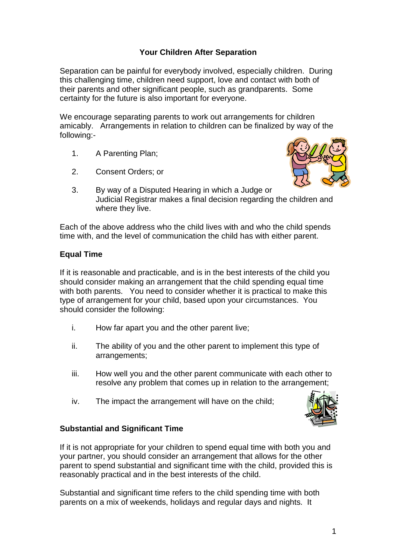## **Your Children After Separation**

Separation can be painful for everybody involved, especially children. During this challenging time, children need support, love and contact with both of their parents and other significant people, such as grandparents. Some certainty for the future is also important for everyone.

We encourage separating parents to work out arrangements for children amicably. Arrangements in relation to children can be finalized by way of the following:-

- 1. A Parenting Plan;
- 2. Consent Orders; or



3. By way of a Disputed Hearing in which a Judge or Judicial Registrar makes a final decision regarding the children and where they live.

Each of the above address who the child lives with and who the child spends time with, and the level of communication the child has with either parent.

#### **Equal Time**

If it is reasonable and practicable, and is in the best interests of the child you should consider making an arrangement that the child spending equal time with both parents. You need to consider whether it is practical to make this type of arrangement for your child, based upon your circumstances. You should consider the following:

- i. How far apart you and the other parent live;
- ii. The ability of you and the other parent to implement this type of arrangements;
- iii. How well you and the other parent communicate with each other to resolve any problem that comes up in relation to the arrangement;
- iv. The impact the arrangement will have on the child;



## **Substantial and Significant Time**

If it is not appropriate for your children to spend equal time with both you and your partner, you should consider an arrangement that allows for the other parent to spend substantial and significant time with the child, provided this is reasonably practical and in the best interests of the child.

Substantial and significant time refers to the child spending time with both parents on a mix of weekends, holidays and regular days and nights. It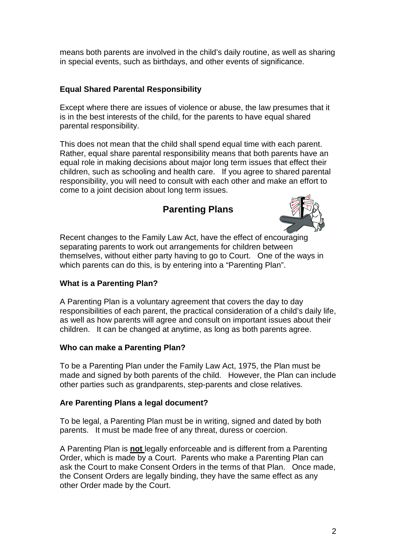means both parents are involved in the child's daily routine, as well as sharing in special events, such as birthdays, and other events of significance.

## **Equal Shared Parental Responsibility**

Except where there are issues of violence or abuse, the law presumes that it is in the best interests of the child, for the parents to have equal shared parental responsibility.

This does not mean that the child shall spend equal time with each parent. Rather, equal share parental responsibility means that both parents have an equal role in making decisions about major long term issues that effect their children, such as schooling and health care. If you agree to shared parental responsibility, you will need to consult with each other and make an effort to come to a joint decision about long term issues.

# **Parenting Plans**



Recent changes to the Family Law Act, have the effect of encouraging separating parents to work out arrangements for children between themselves, without either party having to go to Court. One of the ways in which parents can do this, is by entering into a "Parenting Plan".

## **What is a Parenting Plan?**

A Parenting Plan is a voluntary agreement that covers the day to day responsibilities of each parent, the practical consideration of a child's daily life, as well as how parents will agree and consult on important issues about their children. It can be changed at anytime, as long as both parents agree.

#### **Who can make a Parenting Plan?**

To be a Parenting Plan under the Family Law Act, 1975, the Plan must be made and signed by both parents of the child. However, the Plan can include other parties such as grandparents, step-parents and close relatives.

#### **Are Parenting Plans a legal document?**

To be legal, a Parenting Plan must be in writing, signed and dated by both parents. It must be made free of any threat, duress or coercion.

A Parenting Plan is **not** legally enforceable and is different from a Parenting Order, which is made by a Court. Parents who make a Parenting Plan can ask the Court to make Consent Orders in the terms of that Plan. Once made, the Consent Orders are legally binding, they have the same effect as any other Order made by the Court.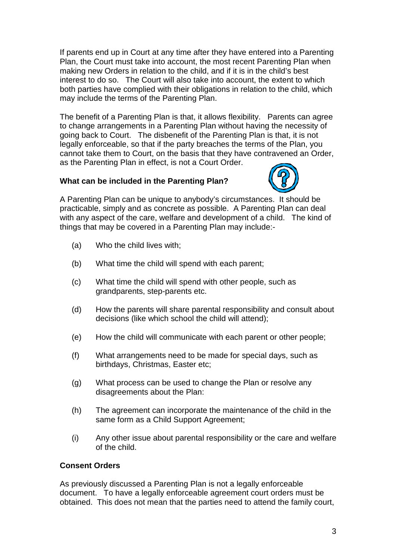If parents end up in Court at any time after they have entered into a Parenting Plan, the Court must take into account, the most recent Parenting Plan when making new Orders in relation to the child, and if it is in the child's best interest to do so. The Court will also take into account, the extent to which both parties have complied with their obligations in relation to the child, which may include the terms of the Parenting Plan.

The benefit of a Parenting Plan is that, it allows flexibility. Parents can agree to change arrangements in a Parenting Plan without having the necessity of going back to Court. The disbenefit of the Parenting Plan is that, it is not legally enforceable, so that if the party breaches the terms of the Plan, you cannot take them to Court, on the basis that they have contravened an Order, as the Parenting Plan in effect, is not a Court Order.

#### **What can be included in the Parenting Plan?**



A Parenting Plan can be unique to anybody's circumstances. It should be practicable, simply and as concrete as possible. A Parenting Plan can deal with any aspect of the care, welfare and development of a child. The kind of things that may be covered in a Parenting Plan may include:-

- (a) Who the child lives with;
- (b) What time the child will spend with each parent;
- (c) What time the child will spend with other people, such as grandparents, step-parents etc.
- (d) How the parents will share parental responsibility and consult about decisions (like which school the child will attend);
- (e) How the child will communicate with each parent or other people;
- (f) What arrangements need to be made for special days, such as birthdays, Christmas, Easter etc;
- (g) What process can be used to change the Plan or resolve any disagreements about the Plan:
- (h) The agreement can incorporate the maintenance of the child in the same form as a Child Support Agreement;
- (i) Any other issue about parental responsibility or the care and welfare of the child.

#### **Consent Orders**

As previously discussed a Parenting Plan is not a legally enforceable document. To have a legally enforceable agreement court orders must be obtained. This does not mean that the parties need to attend the family court,